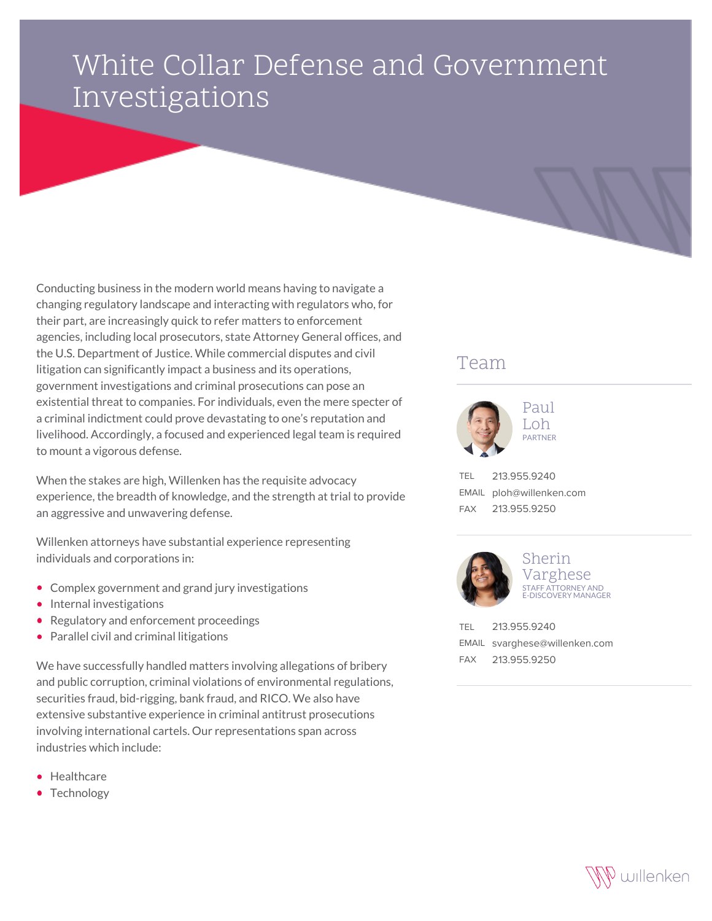## White Collar Defense and Government Investigations

Conducting business in the modern world means having to navigate a changing regulatory landscape and interacting with regulators who, for their part, are increasingly quick to refer matters to enforcement agencies, including local prosecutors, state Attorney General offices, and the U.S. Department of Justice. While commercial disputes and civil litigation can significantly impact a business and its operations, government investigations and criminal prosecutions can pose an existential threat to companies. For individuals, even the mere specter of a criminal indictment could prove devastating to one's reputation and livelihood. Accordingly, a focused and experienced legal team is required to mount a vigorous defense.

When the stakes are high, Willenken has the requisite advocacy experience, the breadth of knowledge, and the strength at trial to provide an aggressive and unwavering defense.

Willenken attorneys have substantial experience representing individuals and corporations in:

- Complex government and grand jury investigations
- Internal investigations
- Regulatory and enforcement proceedings
- Parallel civil and criminal litigations

We have successfully handled matters involving allegations of bribery and public corruption, criminal violations of environmental regulations, securities fraud, bid-rigging, bank fraud, and RICO. We also have extensive substantive experience in criminal antitrust prosecutions involving international cartels. Our representations span across industries which include:

- **•** Healthcare
- Technology

## Team



TEL 213.955.9240 EMAIL ploh@willenken.com FAX 213.955.9250



## Sherin Varghese STAFF ATTORNEY AND E-DISCOVERY MANAGER

| TEL 213.955.9240              |
|-------------------------------|
| EMAIL svarghese@willenken.com |
| FAX 213.955.9250              |